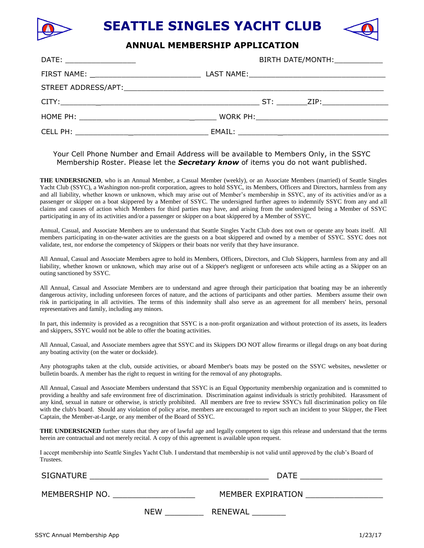

**SEATTLE SINGLES YACHT CLUB**

## **ANNUAL MEMBERSHIP APPLICATION**

| BIRTH DATE/MONTH: ____________ |
|--------------------------------|
|                                |
|                                |
|                                |
|                                |
|                                |

## Your Cell Phone Number and Email Address will be available to Members Only, in the SSYC Membership Roster. Please let the *Secretary know* of items you do not want published.

**THE UNDERSIGNED**, who is an Annual Member, a Casual Member (weekly), or an Associate Members (married) of Seattle Singles Yacht Club (SSYC), a Washington non-profit corporation, agrees to hold SSYC, its Members, Officers and Directors, harmless from any and all liability, whether known or unknown, which may arise out of Member's membership in SSYC, any of its activities and/or as a passenger or skipper on a boat skippered by a Member of SSYC. The undersigned further agrees to indemnify SSYC from any and all claims and causes of action which Members for third parties may have, and arising from the undersigned being a Member of SSYC participating in any of its activities and/or a passenger or skipper on a boat skippered by a Member of SSYC.

Annual, Casual, and Associate Members are to understand that Seattle Singles Yacht Club does not own or operate any boats itself. All members participating in on-the-water activities are the guests on a boat skippered and owned by a member of SSYC. SSYC does not validate, test, nor endorse the competency of Skippers or their boats nor verify that they have insurance.

All Annual, Casual and Associate Members agree to hold its Members, Officers, Directors, and Club Skippers, harmless from any and all liability, whether known or unknown, which may arise out of a Skipper's negligent or unforeseen acts while acting as a Skipper on an outing sanctioned by SSYC.

All Annual, Casual and Associate Members are to understand and agree through their participation that boating may be an inherently dangerous activity, including unforeseen forces of nature, and the actions of participants and other parties. Members assume their own risk in participating in all activities. The terms of this indemnity shall also serve as an agreement for all members' heirs, personal representatives and family, including any minors.

In part, this indemnity is provided as a recognition that SSYC is a non-profit organization and without protection of its assets, its leaders and skippers, SSYC would not be able to offer the boating activities.

All Annual, Casual, and Associate members agree that SSYC and its Skippers DO NOT allow firearms or illegal drugs on any boat during any boating activity (on the water or dockside).

Any photographs taken at the club, outside activities, or aboard Member's boats may be posted on the SSYC websites, newsletter or bulletin boards. A member has the right to request in writing for the removal of any photographs.

All Annual, Casual and Associate Members understand that SSYC is an Equal Opportunity membership organization and is committed to providing a healthy and safe environment free of discrimination. Discrimination against individuals is strictly prohibited. Harassment of any kind, sexual in nature or otherwise, is strictly prohibited. All members are free to review SSYC's full discrimination policy on file with the club's board. Should any violation of policy arise, members are encouraged to report such an incident to your Skipper, the Fleet Captain, the Member-at-Large, or any member of the Board of SSYC.

**THE UNDERSIGNED** further states that they are of lawful age and legally competent to sign this release and understand that the terms herein are contractual and not merely recital. A copy of this agreement is available upon request.

I accept membership into Seattle Singles Yacht Club. I understand that membership is not valid until approved by the club's Board of Trustees.

SIGNATURE \_\_\_\_\_\_\_\_\_\_\_\_\_\_\_\_\_\_\_\_\_\_\_\_\_\_\_\_\_\_\_\_\_\_\_\_\_ DATE \_\_\_\_\_\_\_\_\_\_\_\_\_\_\_\_\_

MEMBERSHIP NO. \_\_\_\_\_\_\_\_\_\_\_\_\_\_\_\_\_ MEMBER EXPIRATION \_\_\_\_\_\_\_\_\_\_\_\_\_\_\_\_

NEW \_\_\_\_\_\_\_\_\_\_\_\_\_\_ RENEWAL \_\_\_\_\_\_\_\_\_